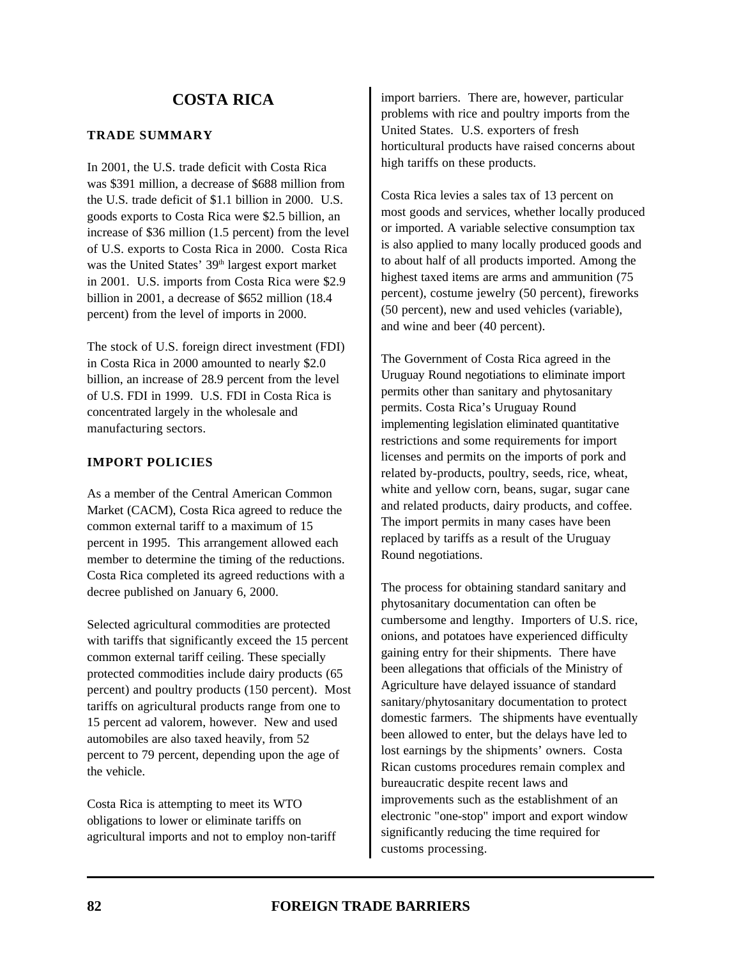### **TRADE SUMMARY**

In 2001, the U.S. trade deficit with Costa Rica was \$391 million, a decrease of \$688 million from the U.S. trade deficit of \$1.1 billion in 2000. U.S. goods exports to Costa Rica were \$2.5 billion, an increase of \$36 million (1.5 percent) from the level of U.S. exports to Costa Rica in 2000. Costa Rica was the United States'  $39<sup>th</sup>$  largest export market in 2001. U.S. imports from Costa Rica were \$2.9 billion in 2001, a decrease of \$652 million (18.4 percent) from the level of imports in 2000.

The stock of U.S. foreign direct investment (FDI) in Costa Rica in 2000 amounted to nearly \$2.0 billion, an increase of 28.9 percent from the level of U.S. FDI in 1999. U.S. FDI in Costa Rica is concentrated largely in the wholesale and manufacturing sectors.

### **IMPORT POLICIES**

As a member of the Central American Common Market (CACM), Costa Rica agreed to reduce the common external tariff to a maximum of 15 percent in 1995. This arrangement allowed each member to determine the timing of the reductions. Costa Rica completed its agreed reductions with a decree published on January 6, 2000.

Selected agricultural commodities are protected with tariffs that significantly exceed the 15 percent common external tariff ceiling. These specially protected commodities include dairy products (65 percent) and poultry products (150 percent). Most tariffs on agricultural products range from one to 15 percent ad valorem, however. New and used automobiles are also taxed heavily, from 52 percent to 79 percent, depending upon the age of the vehicle.

Costa Rica is attempting to meet its WTO obligations to lower or eliminate tariffs on agricultural imports and not to employ non-tariff import barriers. There are, however, particular problems with rice and poultry imports from the United States. U.S. exporters of fresh horticultural products have raised concerns about high tariffs on these products.

Costa Rica levies a sales tax of 13 percent on most goods and services, whether locally produced or imported. A variable selective consumption tax is also applied to many locally produced goods and to about half of all products imported. Among the highest taxed items are arms and ammunition (75 percent), costume jewelry (50 percent), fireworks (50 percent), new and used vehicles (variable), and wine and beer (40 percent).

The Government of Costa Rica agreed in the Uruguay Round negotiations to eliminate import permits other than sanitary and phytosanitary permits. Costa Rica's Uruguay Round implementing legislation eliminated quantitative restrictions and some requirements for import licenses and permits on the imports of pork and related by-products, poultry, seeds, rice, wheat, white and yellow corn, beans, sugar, sugar cane and related products, dairy products, and coffee. The import permits in many cases have been replaced by tariffs as a result of the Uruguay Round negotiations.

The process for obtaining standard sanitary and phytosanitary documentation can often be cumbersome and lengthy. Importers of U.S. rice, onions, and potatoes have experienced difficulty gaining entry for their shipments. There have been allegations that officials of the Ministry of Agriculture have delayed issuance of standard sanitary/phytosanitary documentation to protect domestic farmers. The shipments have eventually been allowed to enter, but the delays have led to lost earnings by the shipments' owners. Costa Rican customs procedures remain complex and bureaucratic despite recent laws and improvements such as the establishment of an electronic "one-stop" import and export window significantly reducing the time required for customs processing.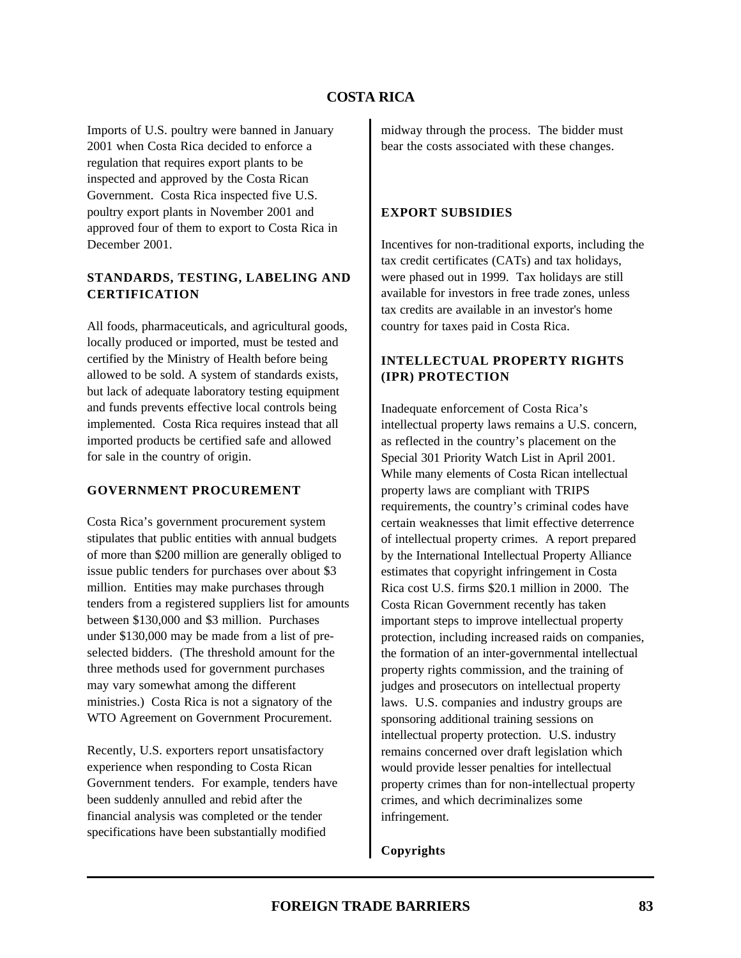Imports of U.S. poultry were banned in January 2001 when Costa Rica decided to enforce a regulation that requires export plants to be inspected and approved by the Costa Rican Government. Costa Rica inspected five U.S. poultry export plants in November 2001 and approved four of them to export to Costa Rica in December 2001.

### **STANDARDS, TESTING, LABELING AND CERTIFICATION**

All foods, pharmaceuticals, and agricultural goods, locally produced or imported, must be tested and certified by the Ministry of Health before being allowed to be sold. A system of standards exists, but lack of adequate laboratory testing equipment and funds prevents effective local controls being implemented. Costa Rica requires instead that all imported products be certified safe and allowed for sale in the country of origin.

### **GOVERNMENT PROCUREMENT**

Costa Rica's government procurement system stipulates that public entities with annual budgets of more than \$200 million are generally obliged to issue public tenders for purchases over about \$3 million. Entities may make purchases through tenders from a registered suppliers list for amounts between \$130,000 and \$3 million. Purchases under \$130,000 may be made from a list of preselected bidders. (The threshold amount for the three methods used for government purchases may vary somewhat among the different ministries.) Costa Rica is not a signatory of the WTO Agreement on Government Procurement.

Recently, U.S. exporters report unsatisfactory experience when responding to Costa Rican Government tenders. For example, tenders have been suddenly annulled and rebid after the financial analysis was completed or the tender specifications have been substantially modified

midway through the process. The bidder must bear the costs associated with these changes.

### **EXPORT SUBSIDIES**

Incentives for non-traditional exports, including the tax credit certificates (CATs) and tax holidays, were phased out in 1999. Tax holidays are still available for investors in free trade zones, unless tax credits are available in an investor's home country for taxes paid in Costa Rica.

# **INTELLECTUAL PROPERTY RIGHTS (IPR) PROTECTION**

Inadequate enforcement of Costa Rica's intellectual property laws remains a U.S. concern, as reflected in the country's placement on the Special 301 Priority Watch List in April 2001. While many elements of Costa Rican intellectual property laws are compliant with TRIPS requirements, the country's criminal codes have certain weaknesses that limit effective deterrence of intellectual property crimes. A report prepared by the International Intellectual Property Alliance estimates that copyright infringement in Costa Rica cost U.S. firms \$20.1 million in 2000. The Costa Rican Government recently has taken important steps to improve intellectual property protection, including increased raids on companies, the formation of an inter-governmental intellectual property rights commission, and the training of judges and prosecutors on intellectual property laws. U.S. companies and industry groups are sponsoring additional training sessions on intellectual property protection. U.S. industry remains concerned over draft legislation which would provide lesser penalties for intellectual property crimes than for non-intellectual property crimes, and which decriminalizes some infringement.

### **Copyrights**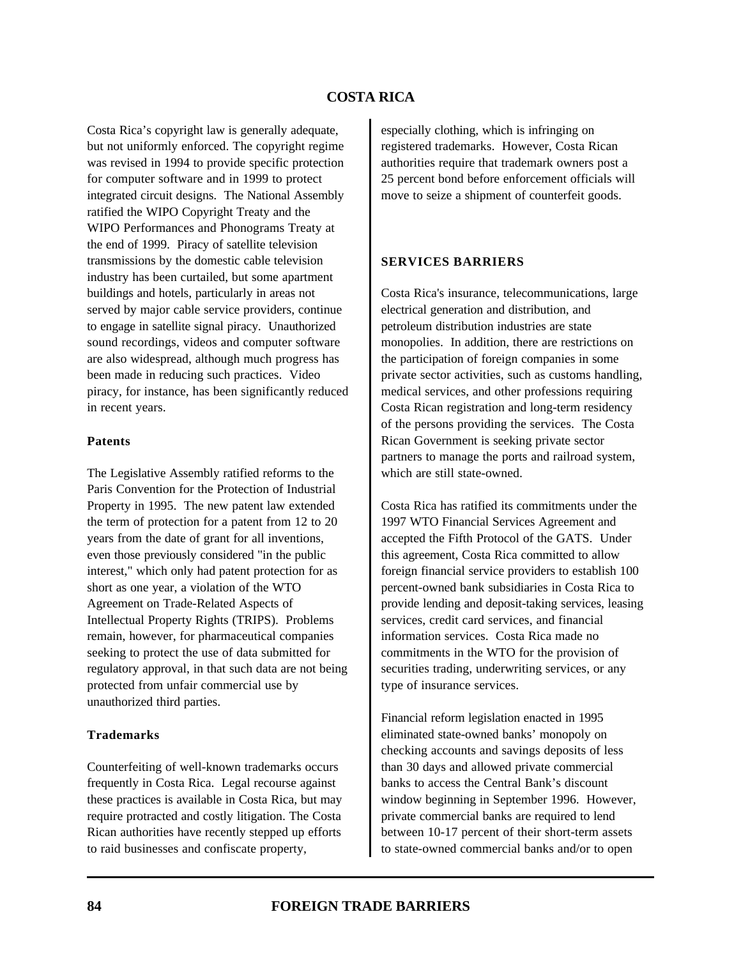Costa Rica's copyright law is generally adequate, but not uniformly enforced. The copyright regime was revised in 1994 to provide specific protection for computer software and in 1999 to protect integrated circuit designs. The National Assembly ratified the WIPO Copyright Treaty and the WIPO Performances and Phonograms Treaty at the end of 1999. Piracy of satellite television transmissions by the domestic cable television industry has been curtailed, but some apartment buildings and hotels, particularly in areas not served by major cable service providers, continue to engage in satellite signal piracy. Unauthorized sound recordings, videos and computer software are also widespread, although much progress has been made in reducing such practices. Video piracy, for instance, has been significantly reduced in recent years.

#### **Patents**

The Legislative Assembly ratified reforms to the Paris Convention for the Protection of Industrial Property in 1995. The new patent law extended the term of protection for a patent from 12 to 20 years from the date of grant for all inventions, even those previously considered "in the public interest," which only had patent protection for as short as one year, a violation of the WTO Agreement on Trade-Related Aspects of Intellectual Property Rights (TRIPS). Problems remain, however, for pharmaceutical companies seeking to protect the use of data submitted for regulatory approval, in that such data are not being protected from unfair commercial use by unauthorized third parties.

#### **Trademarks**

Counterfeiting of well-known trademarks occurs frequently in Costa Rica. Legal recourse against these practices is available in Costa Rica, but may require protracted and costly litigation. The Costa Rican authorities have recently stepped up efforts to raid businesses and confiscate property,

especially clothing, which is infringing on registered trademarks. However, Costa Rican authorities require that trademark owners post a 25 percent bond before enforcement officials will move to seize a shipment of counterfeit goods.

#### **SERVICES BARRIERS**

Costa Rica's insurance, telecommunications, large electrical generation and distribution, and petroleum distribution industries are state monopolies. In addition, there are restrictions on the participation of foreign companies in some private sector activities, such as customs handling, medical services, and other professions requiring Costa Rican registration and long-term residency of the persons providing the services. The Costa Rican Government is seeking private sector partners to manage the ports and railroad system, which are still state-owned.

Costa Rica has ratified its commitments under the 1997 WTO Financial Services Agreement and accepted the Fifth Protocol of the GATS. Under this agreement, Costa Rica committed to allow foreign financial service providers to establish 100 percent-owned bank subsidiaries in Costa Rica to provide lending and deposit-taking services, leasing services, credit card services, and financial information services. Costa Rica made no commitments in the WTO for the provision of securities trading, underwriting services, or any type of insurance services.

Financial reform legislation enacted in 1995 eliminated state-owned banks' monopoly on checking accounts and savings deposits of less than 30 days and allowed private commercial banks to access the Central Bank's discount window beginning in September 1996. However, private commercial banks are required to lend between 10-17 percent of their short-term assets to state-owned commercial banks and/or to open